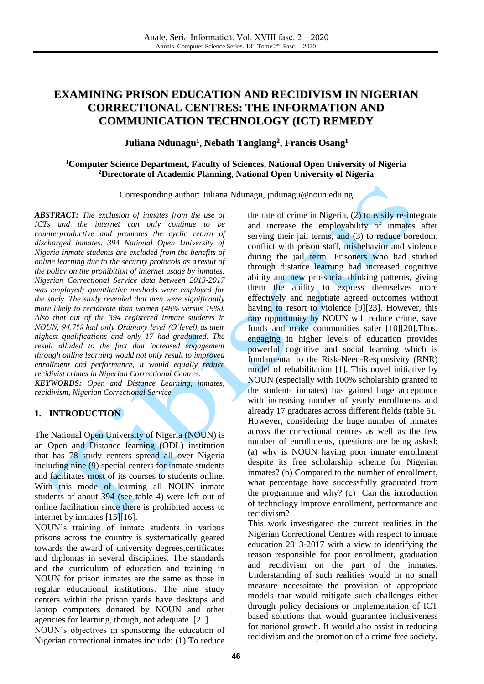# **EXAMINING PRISON EDUCATION AND RECIDIVISM IN NIGERIAN CORRECTIONAL CENTRES: THE INFORMATION AND COMMUNICATION TECHNOLOGY (ICT) REMEDY**

# **Juliana Ndunagu 1 , Nebath Tanglang 2 , Francis Osang 1**

### **<sup>1</sup>Computer Science Department, Faculty of Sciences, National Open University of Nigeria <sup>2</sup>Directorate of Academic Planning, National Open University of Nigeria**

Corresponding author: Juliana Ndunagu, [jndunagu@noun.edu.ng](mailto:jndunagu@noun.edu.ng)

*ABSTRACT: The exclusion of inmates from the use of ICTs and the internet can only continue to be counterproductive and promotes the cyclic return of discharged inmates. 394 National Open University of Nigeria inmate students are excluded from the benefits of online learning due to the security protocols as a result of the policy on the prohibition of internet usage by inmates. Nigerian Correctional Service data between 2013-2017 was employed; quantitative methods were employed for the study. The study revealed that men were significantly more likely to recidivate than women (48% versus 19%). Also that out of the 394 registered inmate students in NOUN, 94.7% had only Ordinary level (O'level) as their highest qualifications and only 17 had graduated. The result alluded to the fact that increased engagement through online learning would not only result to improved enrollment and performance, it would equally reduce recidivist crimes in Nigerian Correctional Centres. KEYWORDS: Open and Distance Learning, inmates,* 

*recidivism, Nigerian Correctional Service*

### **1. INTRODUCTION**

The National Open University of Nigeria (NOUN) is an Open and Distance learning (ODL) institution that has 78 study centers spread all over Nigeria including nine (9) special centers for inmate students and facilitates most of its courses to students online. With this mode of learning all NOUN inmate students of about 394 (see table 4) were left out of online facilitation since there is prohibited access to internet by inmate[s \[15\]](#page-5-0)[\[16\].](#page-5-1)

NOUN's training of inmate students in various prisons across the country is systematically geared towards the award of university degrees,certificates and diplomas in several disciplines. The standards and the curriculum of education and training in NOUN for prison inmates are the same as those in regular educational institutions. The nine study centers within the prison yards have desktops and laptop computers donated by NOUN and other agencies for learning, though, not adequate [\[21\].](#page-5-2)

NOUN's objectives in sponsoring the education of Nigerian correctional inmates include: (1) To reduce

the rate of crime in Nigeria, (2) to easily re-integrate and increase the employability of inmates after serving their jail terms, and (3) to reduce boredom, conflict with prison staff, misbehavior and violence during the jail term. Prisoners who had studied through distance learning had increased cognitive ability and new pro-social thinking patterns, giving them the ability to express themselves more effectively and negotiate agreed outcomes without having to resort to violence [\[9\]](#page-4-0)[\[23\].](#page-5-3) However, this rare opportunity by NOUN will reduce crime, save funds and make communities safer [\[10\]](#page-4-1)[\[20\].](#page-5-4)Thus, engaging in higher levels of education provides powerful cognitive and social learning which is fundamental to the Risk-Need-Responsivity (RNR) model of rehabilitation [\[1\].](#page-4-2) This novel initiative by NOUN (especially with 100% scholarship granted to the student- inmates) has gained huge acceptance with increasing number of yearly enrollments and already 17 graduates across different fields (table 5). However, considering the huge number of inmates across the correctional centres as well as the few number of enrollments, questions are being asked: (a) why is NOUN having poor inmate enrollment despite its free scholarship scheme for Nigerian inmates? (b) Compared to the number of enrollment, what percentage have successfully graduated from the programme and why? (c) Can the introduction of technology improve enrollment, performance and recidivism?

This work investigated the current realities in the Nigerian Correctional Centres with respect to inmate education 2013-2017 with a view to identifying the reason responsible for poor enrollment, graduation and recidivism on the part of the inmates. Understanding of such realities would in no small measure necessitate the provision of appropriate models that would mitigate such challenges either through policy decisions or implementation of ICT based solutions that would guarantee inclusiveness for national growth. It would also assist in reducing recidivism and the promotion of a crime free society.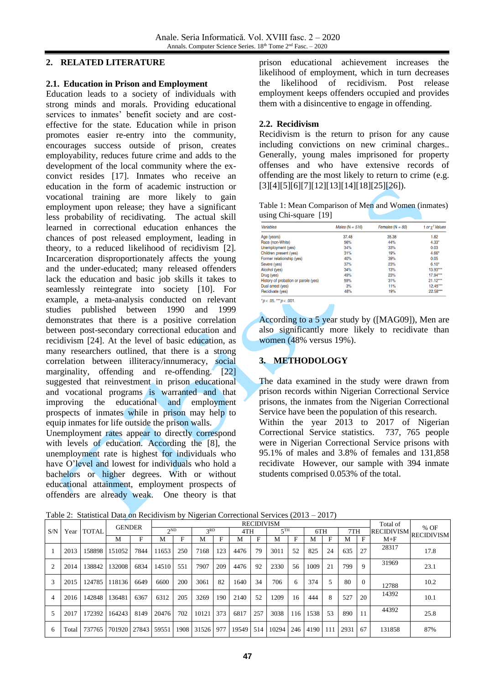### **2. RELATED LITERATURE**

### **2.1. Education in Prison and Employment**

Education leads to a society of individuals with strong minds and morals. Providing educational services to inmates' benefit society and are costeffective for the state. Education while in prison promotes easier re-entry into the community, encourages success outside of prison, creates employability, reduces future crime and adds to the development of the local community where the exconvict resides [\[17\].](#page-5-5) Inmates who receive an education in the form of academic instruction or vocational training are more likely to gain employment upon release; they have a significant less probability of recidivating. The actual skill learned in correctional education enhances the chances of post released employment, leading in theory, to a reduced likelihood of recidivism [\[2\]](#page-4-3)*.* Incarceration disproportionately affects the young and the under-educated; many released offenders lack the education and basic job skills it takes to seamlessly reintegrate into society [\[10\].](#page-4-1) For example, a meta-analysis conducted on relevant studies published between 1990 and 1999 demonstrates that there is a positive correlation between post-secondary correctional education and recidivism [\[24\].](#page-5-6) At the level of basic education, as many researchers outlined, that there is a strong correlation between illiteracy/innumeracy, social marginality, offending and re-offending. [\[22\]](#page-5-7) suggested that reinvestment in prison educational and vocational programs is warranted and that improving the educational and employment prospects of inmates while in prison may help to equip inmates for life outside the prison walls.

Unemployment rates appear to directly correspond with levels of education. According the [\[8\],](#page-4-4) the unemployment rate is highest for individuals who have O'level and lowest for individuals who hold a bachelors or higher degrees. With or without educational attainment, employment prospects of offenders are already weak. One theory is that prison educational achievement increases the likelihood of employment, which in turn decreases the likelihood of recidivism. Post release employment keeps offenders occupied and provides them with a disincentive to engage in offending.

### **2.2. Recidivism**

Recidivism is the return to prison for any cause including convictions on new criminal charges.. Generally, young males imprisoned for property offenses and who have extensive records of offending are the most likely to return to crime (e.g. [\[3\]](#page-4-5)[\[4\]](#page-4-6)[\[5\]](#page-4-7)[\[6\]](#page-4-8)[\[7\]](#page-4-9)[\[12\]](#page-5-8)[\[13\]](#page-5-9)[\[14\]](#page-5-10)[\[18\]](#page-5-11)[\[25\]](#page-5-12)[\[26\]\)](#page-5-13).

| Table 1: Mean Comparison of Men and Women (inmates) |  |  |
|-----------------------------------------------------|--|--|
| using Chi-square $[19]$                             |  |  |

| <b>Variables</b>                     | Males ( $N = 516$ ) | Females $(N = 80)$ | t or $\chi^2$ Values |
|--------------------------------------|---------------------|--------------------|----------------------|
| Age (years)                          | 37.48               | 35.38              | 1.82                 |
| Race (non-White)                     | 56%                 | 44%                | $4.33*$              |
| Unemployment (yes)                   | 34%                 | 33%                | 0.03                 |
| Children present (yes)               | 31%                 | 19%                | $4.66*$              |
| Former relationship (yes)            | 40%                 | 39%                | 0.05                 |
| Severe (yes)                         | 37%                 | 23%                | $6.10*$              |
| Alcohol (yes)                        | 34%                 | 13%                | 13.93***             |
| Drug (yes)                           | 49%                 | 23%                | 17.94***             |
| History of probation or parole (yes) | 59%                 | 31%                | $21.12***$           |
| Dual arrest (yes)                    | 3%                  | 11%                | $12.45***$           |
| Recidivate (yes)                     | 48%                 | 19%                | 22.58***             |

According to a 5 year study by ([MAG09]), Men are also significantly more likely to recidivate than women (48% versus 19%).

# **3. METHODOLOGY**

The data examined in the study were drawn from prison records within Nigerian Correctional Service prisons, the inmates from the Nigerian Correctional Service have been the population of this research.

Within the year 2013 to 2017 of Nigerian Correctional Service statistics. 737, 765 people were in Nigerian Correctional Service prisons with 95.1% of males and 3.8% of females and 131,858 recidivate However, our sample with 394 inmate students comprised 0.053% of the total.

|  |  |  |  |                      | Table 2: Statistical Data on Recidivism by Nigerian Correctional Services $(2013 - 2017)$ |
|--|--|--|--|----------------------|-------------------------------------------------------------------------------------------|
|  |  |  |  | <b>DECATE TEXTS:</b> |                                                                                           |

|                |       |              | <b>GENDER</b> |      | <b>RECIDIVISM</b>      |            |                 |     |           |     |                 |     |      |     |      | Total of<br>$%$ OF |        |                                         |
|----------------|-------|--------------|---------------|------|------------------------|------------|-----------------|-----|-----------|-----|-----------------|-----|------|-----|------|--------------------|--------|-----------------------------------------|
| S/N            | Year  | <b>TOTAL</b> |               |      | $\gamma$ <sub>ND</sub> |            | 3 <sub>RD</sub> |     | 4TH       |     | 5 <sup>TH</sup> |     | 6TH  |     | 7TH  |                    |        | $ \text{RECIDIVISM}  \text{RECIDIVISM}$ |
|                |       |              | M             | F    | М                      |            | м               | F   | М         | F   | м               | F   | М    | F   | М    | $\mathbf{F}$       | $M+F$  |                                         |
|                | 2013  | 158898       | 151052        | 7844 | 11653                  | 250        | 7168            | 123 | 4476      | 79  | 3011            | 52  | 825  | 24  | 635  | 27                 | 28317  | 17.8                                    |
|                | 2014  | 138842       | 132008        | 6834 | 14510                  | 551        | 7907            | 209 | 4476      | 92  | 2330            | 56  | 1009 | 21  | 799  | 9                  | 31969  | 23.1                                    |
|                | 2015  | 124785       | 118136        | 6649 | 6600                   | <b>200</b> | 3061            | 82  | 1640      | 34  | 706             | 6   | 374  | 5   | 80   | $\Omega$           | 12788  | 10.2                                    |
| $\overline{4}$ | 2016  | 142848       | 136481        | 6367 | 6312                   | 205        | 3269            | 190 | 2140      | 52  | 1209            | 16  | 444  | 8   | 527  | -20                | 14392  | 10.1                                    |
|                | 2017  | 172392       | 164243        | 8149 | 20476                  | 702        | 10121           | 373 | 6817      | 257 | 3038            | 116 | 1538 | 53  | 890  |                    | 44392  | 25.8                                    |
| 6              | Total | 737765       | 701920 27843  |      | 59551                  | 1908       | 31526           | 977 | 19549 514 |     | 10294           | 246 | 4190 | 111 | 2931 | -67                | 131858 | 87%                                     |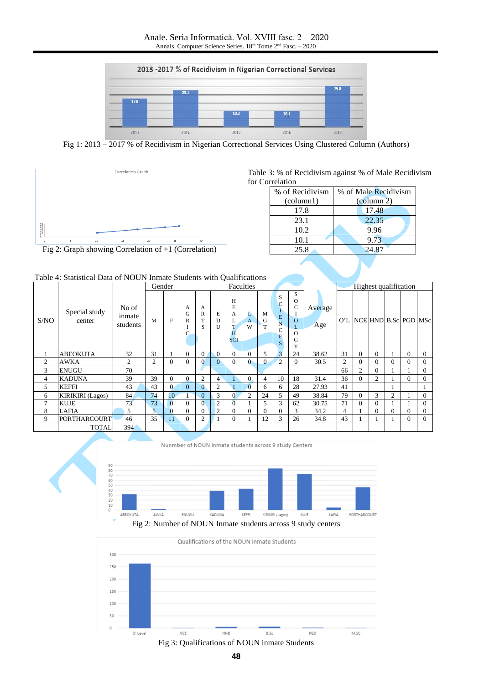

Fig 1: 2013 – 2017 % of Recidivism in Nigerian Correctional Services Using Clustered Column (Authors)



|                 |  | Table 3: % of Recidivism against % of Male Recidivism |  |  |
|-----------------|--|-------------------------------------------------------|--|--|
| for Correlation |  |                                                       |  |  |
|                 |  |                                                       |  |  |

| % of Recidivism    | % of Male Recidivism            |
|--------------------|---------------------------------|
| $\text{(column1)}$ | $\left(\text{column } 2\right)$ |
| 17.8               | 17.48                           |
| 23.1               | 22.35                           |
| 10.2               | 9.96                            |
| 10.1               | 9.73                            |
| 25.8               | 24.87                           |
|                    |                                 |

Fig 2: Graph showing Correlation of +1 (Correlation)

|               |                         |                             | Gender |          |                  |                |                        |                                          | Faculties      |             |                                           |                                                          |                |                |                | <b>Highest</b> qualification |   |              |          |
|---------------|-------------------------|-----------------------------|--------|----------|------------------|----------------|------------------------|------------------------------------------|----------------|-------------|-------------------------------------------|----------------------------------------------------------|----------------|----------------|----------------|------------------------------|---|--------------|----------|
| S/NO          | Special study<br>center | No of<br>inmate<br>students | M      | F        | A<br>G<br>R<br>C | А<br>R<br>S    | E<br>D<br>$\mathbf{U}$ | H<br>E<br>A<br>L<br>T<br>H<br><b>SCI</b> | L<br>A<br>W    | M<br>G<br>m | S<br>C<br>E<br>N<br>$\mathbf C$<br>E<br>S | S<br>O<br>r<br>$\overline{O}$<br>L<br>$\Omega$<br>G<br>Y | Average<br>Age |                |                | O'L NCE HND B.Sc PGD MSc     |   |              |          |
|               | <b>ABEOKUTA</b>         | 32                          | 31     |          | $\Omega$         | $\Omega$       | $\Omega$               | $\Omega$                                 | $\Omega$       | 5           | 3                                         | 24                                                       | 38.62          | 31             | $\Omega$       | $\overline{0}$               |   | $\mathbf{0}$ | $\Omega$ |
| 2             | <b>AWKA</b>             | 2                           | 2      | $\Omega$ | $\mathbf{U}$     | $\Omega$       | $\Omega$               | $\Omega$                                 | $\theta$       | $\Omega$    | $\overline{2}$                            | $\Omega$                                                 | 30.5           | $\overline{2}$ | $\Omega$       | $\Omega$                     | 0 | $\Omega$     | $\Omega$ |
| 3             | <b>ENUGU</b>            | 70                          |        |          |                  |                |                        |                                          |                |             |                                           |                                                          |                | 66             | $\overline{c}$ | $\Omega$                     |   |              | $\Omega$ |
| 4             | <b>KADUNA</b>           | 39                          | 39     | 0        | $\Omega$         | $\overline{c}$ | $\overline{4}$         |                                          | $\Omega$       | 4           | 10                                        | 18                                                       | 31.4           | 36             | 0              | $\overline{c}$               |   | $\Omega$     | $\Omega$ |
| 5             | <b>KEFFI</b>            | 43                          | 43     | 0        | 0                | $\Omega$       | $\overline{2}$         |                                          | $\Omega$       | 6           | 6                                         | 28                                                       | 27.93          | 41             |                |                              |   |              |          |
| 6             | <b>KIRIKIRI</b> (Lagos) | 84                          | 74     | 10       |                  | $\mathbf{0}$   | 3                      | $\overline{0}$                           | $\overline{2}$ | 24          | 5                                         | 49                                                       | 38.84          | 79             | $\Omega$       | 3                            | 2 |              | $\Omega$ |
| $\mathcal{I}$ | <b>KUJE</b>             | 73                          | 73     | $\Omega$ | $\Omega$         | $\theta$       | $\overline{2}$         | $\overline{0}$                           |                | 5           | 3                                         | 62                                                       | 30.75          | 71             | $\Omega$       | $\Omega$                     |   |              | $\Omega$ |
| 8             | <b>LAFIA</b>            | 5                           | 5      |          |                  | $\Omega$       | $\overline{2}$         | $\theta$                                 | $\Omega$       | $\Omega$    | $\Omega$                                  | 3                                                        | 34.2           | 4              |                | $\theta$                     | 0 | $\Omega$     | $\Omega$ |
| 9             | <b>PORTHARCOURT</b>     | 46                          | 35     |          |                  | $\overline{c}$ |                        | $\theta$                                 |                | 12          | 3                                         | 26                                                       | 34.8           | 43             |                |                              |   | $\mathbf{0}$ | $\Omega$ |
|               | <b>TOTAL</b>            | 394                         |        |          |                  |                |                        |                                          |                |             |                                           |                                                          |                |                |                |                              |   |              |          |



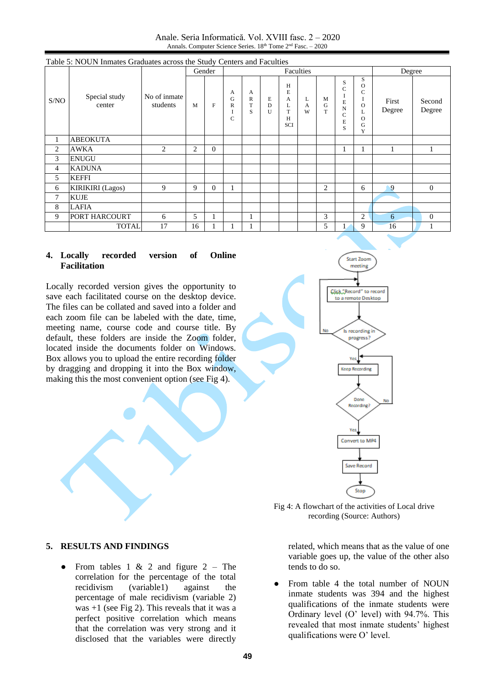Anale. Seria Informatică. Vol. XVIII fasc. 2 – 2020 Annals. Computer Science Series. 18<sup>th</sup> Tome 2<sup>nd</sup> Fasc. - 2020

|      | Table 5: NOUN Inmates Graduates across the Study Centers and Faculties |                          |        |              |                                         |                             |                        |                                     |             |             |                                              |                                                                           |                 |                  |
|------|------------------------------------------------------------------------|--------------------------|--------|--------------|-----------------------------------------|-----------------------------|------------------------|-------------------------------------|-------------|-------------|----------------------------------------------|---------------------------------------------------------------------------|-----------------|------------------|
|      |                                                                        |                          | Gender |              |                                         |                             |                        |                                     | Degree      |             |                                              |                                                                           |                 |                  |
| S/NO | Special study<br>center                                                | No of inmate<br>students | M      | $\mathbf{F}$ | A<br>G<br>$\overline{R}$<br>$\mathbf C$ | A<br>$\mathbb{R}$<br>T<br>S | E<br>D<br>$\mathbf{I}$ | H<br>E<br>А<br>T<br>H<br><b>SCI</b> | L<br>A<br>W | M<br>G<br>T | S<br>$\overline{C}$<br>E<br>N<br>C<br>E<br>S | S<br>$\Omega$<br>$\mathsf{C}$<br>I<br>$\Omega$<br>L<br>$\Omega$<br>G<br>Y | First<br>Degree | Second<br>Degree |
| 1    | <b>ABEOKUTA</b>                                                        |                          |        |              |                                         |                             |                        |                                     |             |             |                                              |                                                                           |                 |                  |
| 2    | <b>AWKA</b>                                                            | 2                        | 2      | $\mathbf{0}$ |                                         |                             |                        |                                     |             |             |                                              | 1                                                                         |                 |                  |
| 3    | <b>ENUGU</b>                                                           |                          |        |              |                                         |                             |                        |                                     |             |             |                                              |                                                                           |                 |                  |
| 4    | <b>KADUNA</b>                                                          |                          |        |              |                                         |                             |                        |                                     |             |             |                                              |                                                                           |                 |                  |
| 5    | <b>KEFFI</b>                                                           |                          |        |              |                                         |                             |                        |                                     |             |             |                                              |                                                                           |                 |                  |
| 6    | <b>KIRIKIRI</b> (Lagos)                                                | 9                        | 9      | $\Omega$     | 1                                       |                             |                        |                                     |             | 2           |                                              | 6                                                                         | 9               | $\theta$         |
| 7    | <b>KUJE</b>                                                            |                          |        |              |                                         |                             |                        |                                     |             |             |                                              |                                                                           |                 |                  |
| 8    | LAFIA                                                                  |                          |        |              |                                         |                             |                        |                                     |             |             |                                              |                                                                           |                 |                  |
| 9    | PORT HARCOURT                                                          | 6                        | 5      |              |                                         | 1                           |                        |                                     |             | 3           |                                              | 2                                                                         | 6               | $\mathbf{0}$     |
|      | <b>TOTAL</b>                                                           | 17                       | 16     |              |                                         |                             |                        |                                     |             | 5           |                                              | 9                                                                         | 16              |                  |

### **4. Locally recorded version of Online Facilitation**

Locally recorded version gives the opportunity to save each facilitated course on the desktop device. The files can be collated and saved into a folder and each zoom file can be labeled with the date, time, meeting name, course code and course title. By default, these folders are inside the Zoom folder, located inside the documents folder on Windows. Box allows you to upload the entire recording folder by dragging and dropping it into the Box window, making this the most convenient option (see Fig 4).



Fig 4: A flowchart of the activities of Local drive recording (Source: Authors)

### **5. RESULTS AND FINDINGS**

• From tables 1 & 2 and figure  $2 -$ The correlation for the percentage of the total recidivism (variable1) against the percentage of male recidivism (variable 2) was +1 (see Fig 2). This reveals that it was a perfect positive correlation which means that the correlation was very strong and it disclosed that the variables were directly

related, which means that as the value of one variable goes up, the value of the other also tends to do so.

From table 4 the total number of NOUN inmate students was 394 and the highest qualifications of the inmate students were Ordinary level (O' level) with 94.7%. This revealed that most inmate students' highest qualifications were O' level.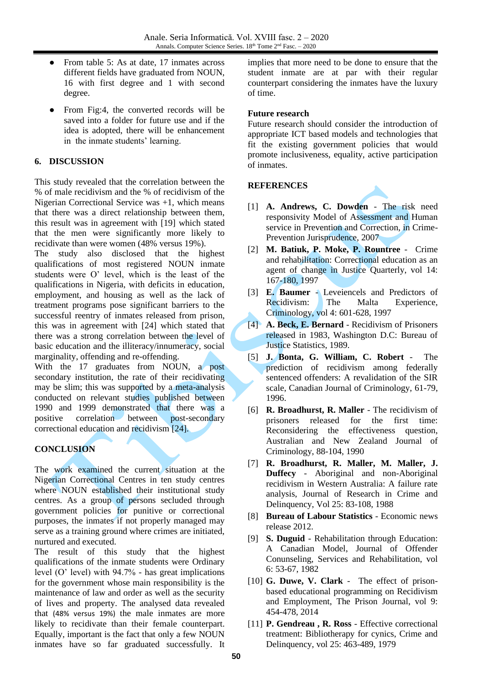- From table 5: As at date, 17 inmates across different fields have graduated from NOUN, 16 with first degree and 1 with second degree.
- From Fig:4, the converted records will be saved into a folder for future use and if the idea is adopted, there will be enhancement in the inmate students' learning.

### **6. DISCUSSION**

This study revealed that the correlation between the % of male recidivism and the % of recidivism of the Nigerian Correctional Service was +1, which means that there was a direct relationship between them, this result was in agreement with [\[19\]](#page-5-14) which stated that the men were significantly more likely to recidivate than were women (48% versus 19%).

The study also disclosed that the highest qualifications of most registered NOUN inmate students were O' level, which is the least of the qualifications in Nigeria, with deficits in education, employment, and housing as well as the lack of treatment programs pose significant barriers to the successful reentry of inmates released from prison, this was in agreement with [\[24\]](#page-5-6) which stated that there was a strong correlation between the level of basic education and the illiteracy/innumeracy, social marginality, offending and re-offending.

With the 17 graduates from NOUN, a post secondary institution, the rate of their recidivating may be slim; this was supported by a meta-analysis conducted on relevant studies published between 1990 and 1999 demonstrated that there was a positive correlation between post-secondary correctional education and recidivism [\[24\].](#page-5-6)

## **CONCLUSION**

The work examined the current situation at the Nigerian Correctional Centres in ten study centres where NOUN established their institutional study centres. As a group of persons secluded through government policies for punitive or correctional purposes, the inmates if not properly managed may serve as a training ground where crimes are initiated, nurtured and executed.

The result of this study that the highest qualifications of the inmate students were Ordinary level (O' level) with 94.7% - has great implications for the government whose main responsibility is the maintenance of law and order as well as the security of lives and property. The analysed data revealed that (48% versus 19%) the male inmates are more likely to recidivate than their female counterpart. Equally, important is the fact that only a few NOUN inmates have so far graduated successfully. It implies that more need to be done to ensure that the student inmate are at par with their regular counterpart considering the inmates have the luxury of time.

### **Future research**

Future research should consider the introduction of appropriate ICT based models and technologies that fit the existing government policies that would promote inclusiveness, equality, active participation of inmates.

### **REFERENCES**

- <span id="page-4-2"></span>[1] **A. Andrews, C. Dowden** - The risk need responsivity Model of Assessment and Human service in Prevention and Correction, in Crime-Prevention Jurisprudence, 2007
- <span id="page-4-3"></span>[2] **M. Batiuk, P. Moke, P. Rountree** - Crime and rehabilitation: Correctional education as an agent of change in Justice Quarterly, vol 14: 167-180, 1997
- <span id="page-4-5"></span>[3] **E. Baumer** - Leveiencels and Predictors of Recidivism: The Malta Experience, Criminology, vol 4: 601-628, 1997
- <span id="page-4-6"></span>[4] **A. Beck, E. Bernard** - Recidivism of Prisoners released in 1983, Washington D.C: Bureau of Justice Statistics, 1989.
- <span id="page-4-7"></span>[5] **J. Bonta, G. William, C. Robert** - The prediction of recidivism among federally sentenced offenders: A revalidation of the SIR scale, Canadian Journal of Criminology, 61-79, 1996.
- <span id="page-4-8"></span>[6] **R. Broadhurst, R. Maller** - The recidivism of prisoners released for the first time: Reconsidering the effectiveness question, Australian and New Zealand Journal of Criminology, 88-104, 1990
- <span id="page-4-9"></span>[7] **R. Broadhurst, R. Maller, M. Maller, J. Duffecy** - Aboriginal and non-Aboriginal recidivism in Western Australia: A failure rate analysis, Journal of Research in Crime and Delinquency, Vol 25: 83-108, 1988
- <span id="page-4-4"></span>[8] **Bureau of Labour Statistics** - Economic news release 2012.
- <span id="page-4-0"></span>[9] **S. Duguid** - Rehabilitation through Education: A Canadian Model, Journal of Offender Conunseling, Services and Rehabilitation, vol 6: 53-67, 1982
- <span id="page-4-1"></span>[10] **G. Duwe, V. Clark** - The effect of prisonbased educational programming on Recidivism and Employment, The Prison Journal, vol 9: 454-478, 2014
- [11] **P. Gendreau , R. Ross** Effective correctional treatment: Bibliotherapy for cynics, Crime and Delinquency, vol 25: 463-489, 1979